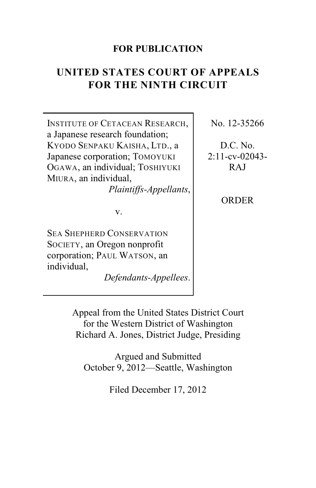## **FOR PUBLICATION**

## **UNITED STATES COURT OF APPEALS FOR THE NINTH CIRCUIT**

INSTITUTE OF CETACEAN RESEARCH, a Japanese research foundation; KYODO SENPAKU KAISHA, LTD., a Japanese corporation; TOMOYUKI OGAWA, an individual; TOSHIYUKI MIURA, an individual,

*Plaintiffs-Appellants*,

v.

SEA SHEPHERD CONSERVATION SOCIETY, an Oregon nonprofit corporation; PAUL WATSON, an individual,

*Defendants-Appellees*.

No. 12-35266

D.C. No. 2:11-cv-02043- RAJ

ORDER

Appeal from the United States District Court for the Western District of Washington Richard A. Jones, District Judge, Presiding

Argued and Submitted October 9, 2012—Seattle, Washington

Filed December 17, 2012